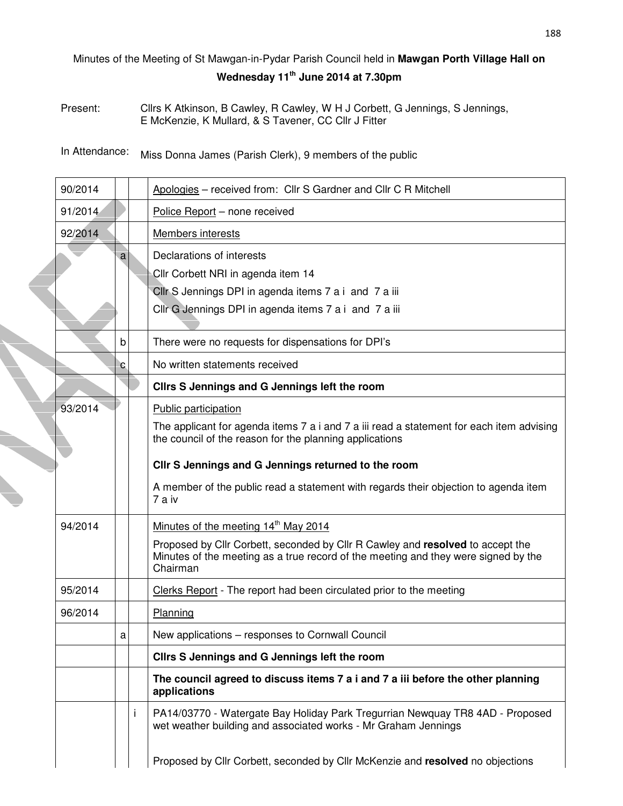## Minutes of the Meeting of St Mawgan-in-Pydar Parish Council held in **Mawgan Porth Village Hall on Wednesday 11th June 2014 at 7.30pm**

Present: Cllrs K Atkinson, B Cawley, R Cawley, W H J Corbett, G Jennings, S Jennings, E McKenzie, K Mullard, & S Tavener, CC Cllr J Fitter

In Attendance: Miss Donna James (Parish Clerk), 9 members of the public

| 90/2014 |    |   | Apologies - received from: Cllr S Gardner and Cllr C R Mitchell                                                                                                                  |
|---------|----|---|----------------------------------------------------------------------------------------------------------------------------------------------------------------------------------|
| 91/2014 |    |   | Police Report - none received                                                                                                                                                    |
| 92/2014 |    |   | Members interests                                                                                                                                                                |
|         | al |   | Declarations of interests                                                                                                                                                        |
|         |    |   | Cllr Corbett NRI in agenda item 14                                                                                                                                               |
|         |    |   | Cllr S Jennings DPI in agenda items 7 a i and 7 a iii                                                                                                                            |
|         |    |   | Cllr G Jennings DPI in agenda items 7 a i and 7 a iii                                                                                                                            |
|         | b  |   | There were no requests for dispensations for DPI's                                                                                                                               |
|         | c  |   | No written statements received                                                                                                                                                   |
|         |    |   | Clirs S Jennings and G Jennings left the room                                                                                                                                    |
| 93/2014 |    |   | Public participation                                                                                                                                                             |
|         |    |   | The applicant for agenda items 7 a i and 7 a iii read a statement for each item advising<br>the council of the reason for the planning applications                              |
|         |    |   | CIIr S Jennings and G Jennings returned to the room                                                                                                                              |
|         |    |   | A member of the public read a statement with regards their objection to agenda item<br>7 a iv                                                                                    |
| 94/2014 |    |   | Minutes of the meeting 14 <sup>th</sup> May 2014                                                                                                                                 |
|         |    |   | Proposed by Cllr Corbett, seconded by Cllr R Cawley and resolved to accept the<br>Minutes of the meeting as a true record of the meeting and they were signed by the<br>Chairman |
| 95/2014 |    |   | Clerks Report - The report had been circulated prior to the meeting                                                                                                              |
| 96/2014 |    |   | Planning                                                                                                                                                                         |
|         | a  |   | New applications - responses to Cornwall Council                                                                                                                                 |
|         |    |   | Clirs S Jennings and G Jennings left the room                                                                                                                                    |
|         |    |   | The council agreed to discuss items 7 a i and 7 a iii before the other planning<br>applications                                                                                  |
|         |    | Ť | PA14/03770 - Watergate Bay Holiday Park Tregurrian Newquay TR8 4AD - Proposed<br>wet weather building and associated works - Mr Graham Jennings                                  |
|         |    |   | Proposed by Cllr Corbett, seconded by Cllr McKenzie and resolved no objections                                                                                                   |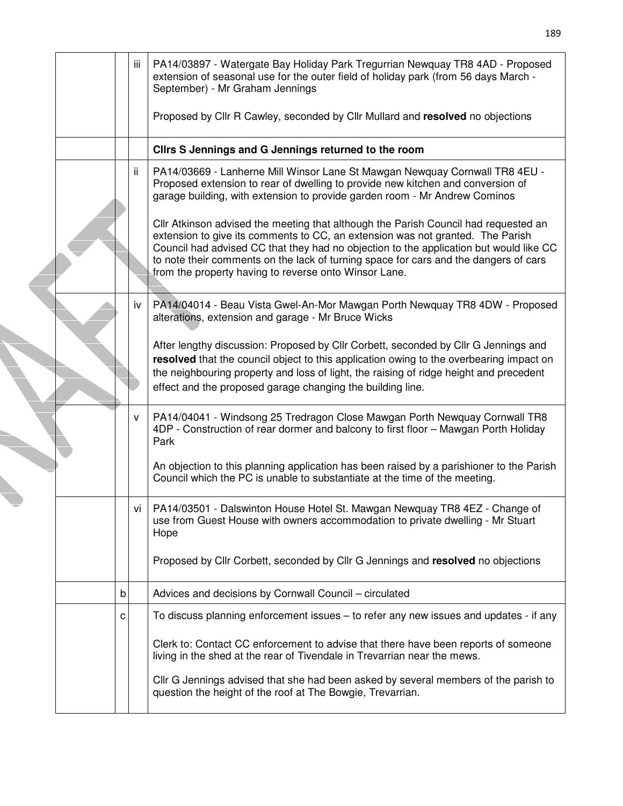|  |   | Ш   | PA14/03897 - Watergate Bay Holiday Park Tregurrian Newquay TR8 4AD - Proposed<br>extension of seasonal use for the outer field of holiday park (from 56 days March -<br>September) - Mr Graham Jennings                                                                                                                                                                                                          |
|--|---|-----|------------------------------------------------------------------------------------------------------------------------------------------------------------------------------------------------------------------------------------------------------------------------------------------------------------------------------------------------------------------------------------------------------------------|
|  |   |     | Proposed by Cllr R Cawley, seconded by Cllr Mullard and resolved no objections                                                                                                                                                                                                                                                                                                                                   |
|  |   |     | Clirs S Jennings and G Jennings returned to the room                                                                                                                                                                                                                                                                                                                                                             |
|  |   | ii. | PA14/03669 - Lanherne Mill Winsor Lane St Mawgan Newquay Cornwall TR8 4EU -<br>Proposed extension to rear of dwelling to provide new kitchen and conversion of<br>garage building, with extension to provide garden room - Mr Andrew Cominos                                                                                                                                                                     |
|  |   |     | CIIr Atkinson advised the meeting that although the Parish Council had requested an<br>extension to give its comments to CC, an extension was not granted. The Parish<br>Council had advised CC that they had no objection to the application but would like CC<br>to note their comments on the lack of turning space for cars and the dangers of cars<br>from the property having to reverse onto Winsor Lane. |
|  |   | iv  | PA14/04014 - Beau Vista Gwel-An-Mor Mawgan Porth Newquay TR8 4DW - Proposed<br>alterations, extension and garage - Mr Bruce Wicks                                                                                                                                                                                                                                                                                |
|  |   |     | After lengthy discussion: Proposed by Cllr Corbett, seconded by Cllr G Jennings and<br>resolved that the council object to this application owing to the overbearing impact on<br>the neighbouring property and loss of light, the raising of ridge height and precedent<br>effect and the proposed garage changing the building line.                                                                           |
|  |   | v   | PA14/04041 - Windsong 25 Tredragon Close Mawgan Porth Newquay Cornwall TR8<br>4DP - Construction of rear dormer and balcony to first floor - Mawgan Porth Holiday<br>Park                                                                                                                                                                                                                                        |
|  |   |     | An objection to this planning application has been raised by a parishioner to the Parish<br>Council which the PC is unable to substantiate at the time of the meeting.                                                                                                                                                                                                                                           |
|  |   | ٧ı  | PA14/03501 - Dalswinton House Hotel St. Mawgan Newquay TR8 4EZ - Change of<br>use from Guest House with owners accommodation to private dwelling - Mr Stuart<br>Hope                                                                                                                                                                                                                                             |
|  |   |     | Proposed by Cllr Corbett, seconded by Cllr G Jennings and resolved no objections                                                                                                                                                                                                                                                                                                                                 |
|  | b |     | Advices and decisions by Cornwall Council - circulated                                                                                                                                                                                                                                                                                                                                                           |
|  | с |     | To discuss planning enforcement issues – to refer any new issues and updates - if any                                                                                                                                                                                                                                                                                                                            |
|  |   |     | Clerk to: Contact CC enforcement to advise that there have been reports of someone<br>living in the shed at the rear of Tivendale in Trevarrian near the mews.                                                                                                                                                                                                                                                   |
|  |   |     | Cllr G Jennings advised that she had been asked by several members of the parish to<br>question the height of the roof at The Bowgie, Trevarrian.                                                                                                                                                                                                                                                                |
|  |   |     |                                                                                                                                                                                                                                                                                                                                                                                                                  |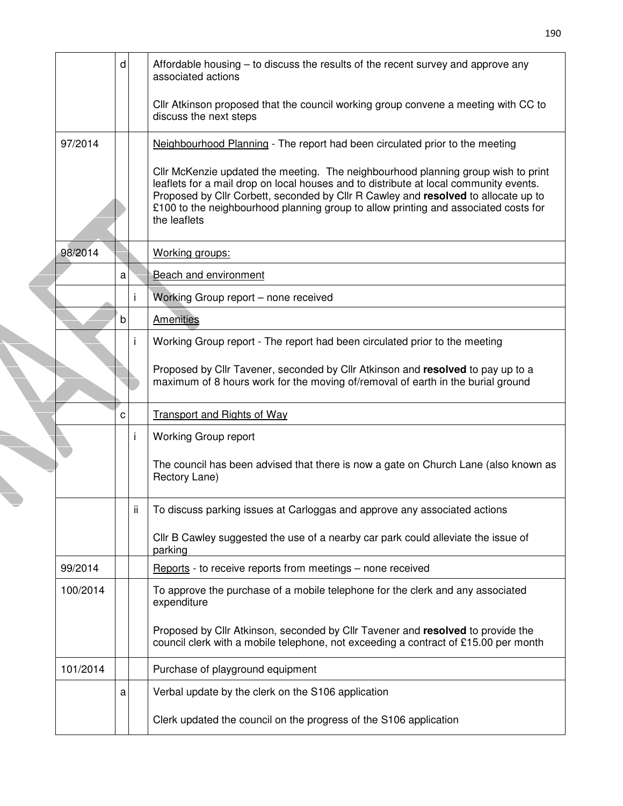|          | d |     | Affordable housing $-$ to discuss the results of the recent survey and approve any<br>associated actions                                                                                                                                                                                                                                                                |
|----------|---|-----|-------------------------------------------------------------------------------------------------------------------------------------------------------------------------------------------------------------------------------------------------------------------------------------------------------------------------------------------------------------------------|
|          |   |     | CIIr Atkinson proposed that the council working group convene a meeting with CC to<br>discuss the next steps                                                                                                                                                                                                                                                            |
| 97/2014  |   |     | Neighbourhood Planning - The report had been circulated prior to the meeting                                                                                                                                                                                                                                                                                            |
|          |   |     | Cllr McKenzie updated the meeting. The neighbourhood planning group wish to print<br>leaflets for a mail drop on local houses and to distribute at local community events.<br>Proposed by Cllr Corbett, seconded by Cllr R Cawley and resolved to allocate up to<br>£100 to the neighbourhood planning group to allow printing and associated costs for<br>the leaflets |
| 98/2014  |   |     | Working groups:                                                                                                                                                                                                                                                                                                                                                         |
|          | a |     | Beach and environment                                                                                                                                                                                                                                                                                                                                                   |
|          |   | İ.  | Working Group report - none received                                                                                                                                                                                                                                                                                                                                    |
|          | b |     | <b>Amenities</b>                                                                                                                                                                                                                                                                                                                                                        |
|          |   | i   | Working Group report - The report had been circulated prior to the meeting                                                                                                                                                                                                                                                                                              |
|          |   |     | Proposed by Cllr Tavener, seconded by Cllr Atkinson and resolved to pay up to a<br>maximum of 8 hours work for the moving of/removal of earth in the burial ground                                                                                                                                                                                                      |
|          | C |     | <b>Transport and Rights of Way</b>                                                                                                                                                                                                                                                                                                                                      |
|          |   | j.  | <b>Working Group report</b>                                                                                                                                                                                                                                                                                                                                             |
|          |   |     | The council has been advised that there is now a gate on Church Lane (also known as<br>Rectory Lane)                                                                                                                                                                                                                                                                    |
|          |   | ii. | To discuss parking issues at Carloggas and approve any associated actions                                                                                                                                                                                                                                                                                               |
|          |   |     | Cllr B Cawley suggested the use of a nearby car park could alleviate the issue of<br>parking                                                                                                                                                                                                                                                                            |
| 99/2014  |   |     | Reports - to receive reports from meetings - none received                                                                                                                                                                                                                                                                                                              |
| 100/2014 |   |     | To approve the purchase of a mobile telephone for the clerk and any associated<br>expenditure                                                                                                                                                                                                                                                                           |
|          |   |     | Proposed by Cllr Atkinson, seconded by Cllr Tavener and resolved to provide the<br>council clerk with a mobile telephone, not exceeding a contract of £15.00 per month                                                                                                                                                                                                  |
| 101/2014 |   |     | Purchase of playground equipment                                                                                                                                                                                                                                                                                                                                        |
|          | a |     | Verbal update by the clerk on the S106 application                                                                                                                                                                                                                                                                                                                      |
|          |   |     | Clerk updated the council on the progress of the S106 application                                                                                                                                                                                                                                                                                                       |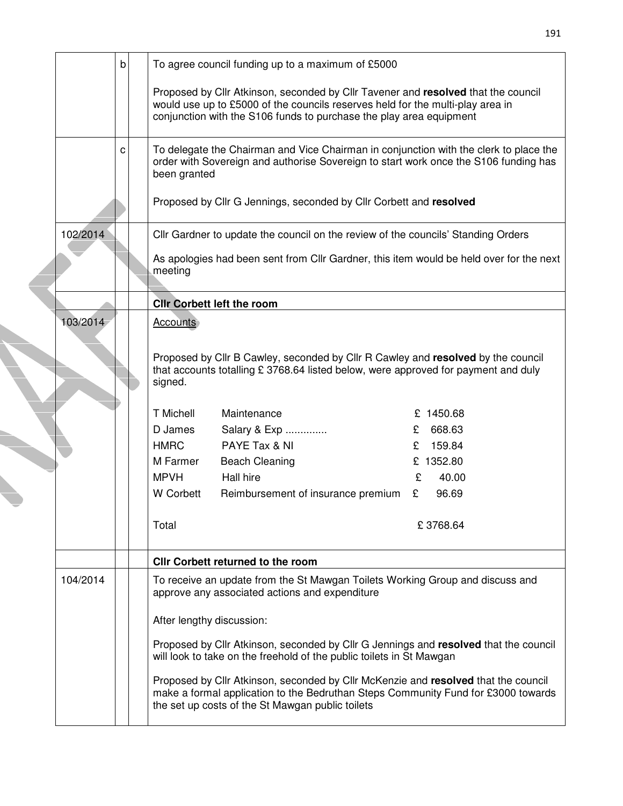|                                                                                                                                                                                                                                            | b |  | To agree council funding up to a maximum of £5000                                                                                                                                                                           |             |  |  |  |  |  |
|--------------------------------------------------------------------------------------------------------------------------------------------------------------------------------------------------------------------------------------------|---|--|-----------------------------------------------------------------------------------------------------------------------------------------------------------------------------------------------------------------------------|-------------|--|--|--|--|--|
| Proposed by Cllr Atkinson, seconded by Cllr Tavener and resolved that the council<br>would use up to £5000 of the councils reserves held for the multi-play area in<br>conjunction with the S106 funds to purchase the play area equipment |   |  |                                                                                                                                                                                                                             |             |  |  |  |  |  |
|                                                                                                                                                                                                                                            | c |  | To delegate the Chairman and Vice Chairman in conjunction with the clerk to place the<br>order with Sovereign and authorise Sovereign to start work once the S106 funding has<br>been granted                               |             |  |  |  |  |  |
|                                                                                                                                                                                                                                            |   |  | Proposed by Cllr G Jennings, seconded by Cllr Corbett and resolved                                                                                                                                                          |             |  |  |  |  |  |
| 102/2014                                                                                                                                                                                                                                   |   |  | Cllr Gardner to update the council on the review of the councils' Standing Orders                                                                                                                                           |             |  |  |  |  |  |
|                                                                                                                                                                                                                                            |   |  | As apologies had been sent from Cllr Gardner, this item would be held over for the next<br>meeting                                                                                                                          |             |  |  |  |  |  |
|                                                                                                                                                                                                                                            |   |  | <b>CIIr Corbett left the room</b>                                                                                                                                                                                           |             |  |  |  |  |  |
| 103/2014                                                                                                                                                                                                                                   |   |  | <b>Accounts</b>                                                                                                                                                                                                             |             |  |  |  |  |  |
|                                                                                                                                                                                                                                            |   |  | Proposed by Cllr B Cawley, seconded by Cllr R Cawley and resolved by the council<br>that accounts totalling £ 3768.64 listed below, were approved for payment and duly<br>signed.                                           |             |  |  |  |  |  |
|                                                                                                                                                                                                                                            |   |  | <b>T</b> Michell<br>Maintenance                                                                                                                                                                                             | £ 1450.68   |  |  |  |  |  |
|                                                                                                                                                                                                                                            |   |  | D James<br>Salary & Exp                                                                                                                                                                                                     | 668.63<br>£ |  |  |  |  |  |
|                                                                                                                                                                                                                                            |   |  | PAYE Tax & NI<br><b>HMRC</b>                                                                                                                                                                                                | 159.84<br>£ |  |  |  |  |  |
|                                                                                                                                                                                                                                            |   |  | M Farmer<br><b>Beach Cleaning</b>                                                                                                                                                                                           | £ 1352.80   |  |  |  |  |  |
|                                                                                                                                                                                                                                            |   |  | <b>MPVH</b><br>Hall hire                                                                                                                                                                                                    | 40.00<br>£  |  |  |  |  |  |
|                                                                                                                                                                                                                                            |   |  | W Corbett<br>Reimbursement of insurance premium                                                                                                                                                                             | 96.69<br>£  |  |  |  |  |  |
|                                                                                                                                                                                                                                            |   |  | Total                                                                                                                                                                                                                       | £3768.64    |  |  |  |  |  |
|                                                                                                                                                                                                                                            |   |  | <b>CIIr Corbett returned to the room</b>                                                                                                                                                                                    |             |  |  |  |  |  |
| 104/2014                                                                                                                                                                                                                                   |   |  | To receive an update from the St Mawgan Toilets Working Group and discuss and<br>approve any associated actions and expenditure                                                                                             |             |  |  |  |  |  |
|                                                                                                                                                                                                                                            |   |  | After lengthy discussion:                                                                                                                                                                                                   |             |  |  |  |  |  |
|                                                                                                                                                                                                                                            |   |  | Proposed by Cllr Atkinson, seconded by Cllr G Jennings and resolved that the council<br>will look to take on the freehold of the public toilets in St Mawgan                                                                |             |  |  |  |  |  |
|                                                                                                                                                                                                                                            |   |  | Proposed by Cllr Atkinson, seconded by Cllr McKenzie and resolved that the council<br>make a formal application to the Bedruthan Steps Community Fund for £3000 towards<br>the set up costs of the St Mawgan public toilets |             |  |  |  |  |  |

191